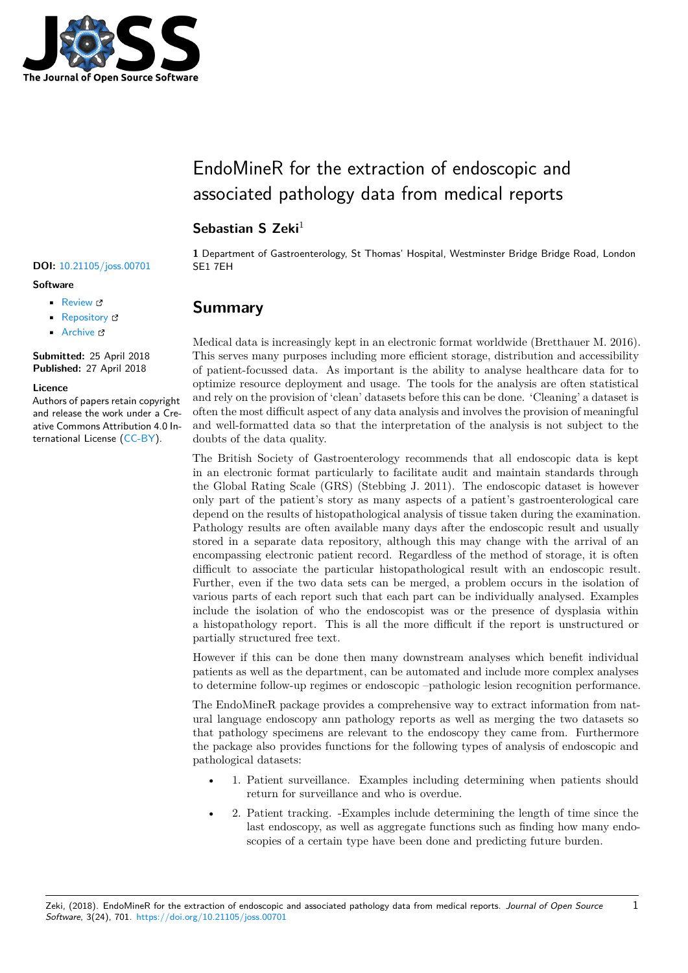

# EndoMineR for the extraction of endoscopic and associated pathology data from medical reports

### Sebastian S Zeki<sup>1</sup>

#### **DOI:** 10.21105/joss.00701 SE1 7EH

#### **Software**

- Review L'
- [Repository](https://doi.org/10.21105/joss.00701) &
- Archive

**Subm[itted:](https://github.com/openjournals/joss-reviews/issues/701)** 25 April 2018 **Published:** [27 Ap](https://github.com/ropensci/EndoMineR)ril 2018

#### **Licen[ce](http://dx.doi.org/10.5281/zenodo.1232059)**

Authors of papers retain copyright and release the work under a Creative Commons Attribution 4.0 International License (CC-BY).

**1** Department of Gastroenterology, St Thomas' Hospital, Westminster Bridge Bridge Road, London

### **Summary**

Medical data is increasingly kept in an electronic format worldwide (Bretthauer M. 2016). This serves many purposes including more efficient storage, distribution and accessibility of patient-focussed data. As important is the ability to analyse healthcare data for to optimize resource deployment and usage. The tools for the analysis are often statistical and rely on the provision of 'clean' datasets before this can be done. 'Cleaning' a dataset is often the most difficult aspect of any data analysis and involves the provision of meaningful and well-formatted data so that the interpretation of the analysis is not subject to the doubts of the data quality.

The British Society of Gastroenterology recommends that all endoscopic data is kept in an electronic format particularly to facilitate audit and maintain standards through the Global Rating Scale (GRS) (Stebbing J. 2011). The endoscopic dataset is however only part of the patient's story as many aspects of a patient's gastroenterological care depend on the results of histopathological analysis of tissue taken during the examination. Pathology results are often available many days after the endoscopic result and usually stored in a separate data repository, although this may change with the arrival of an encompassing electronic patient record. Regardless of the method of storage, it is often difficult to associate the particular histopathological result with an endoscopic result. Further, even if the two data sets can be merged, a problem occurs in the isolation of various parts of each report such that each part can be individually analysed. Examples include the isolation of who the endoscopist was or the presence of dysplasia within a histopathology report. This is all the more difficult if the report is unstructured or partially structured free text.

However if this can be done then many downstream analyses which benefit individual patients as well as the department, can be automated and include more complex analyses to determine follow-up regimes or endoscopic –pathologic lesion recognition performance.

The EndoMineR package provides a comprehensive way to extract information from natural language endoscopy ann pathology reports as well as merging the two datasets so that pathology specimens are relevant to the endoscopy they came from. Furthermore the package also provides functions for the following types of analysis of endoscopic and pathological datasets:

- 1. Patient surveillance. Examples including determining when patients should return for surveillance and who is overdue.
- 2. Patient tracking. -Examples include determining the length of time since the last endoscopy, as well as aggregate functions such as finding how many endoscopies of a certain type have been done and predicting future burden.

1